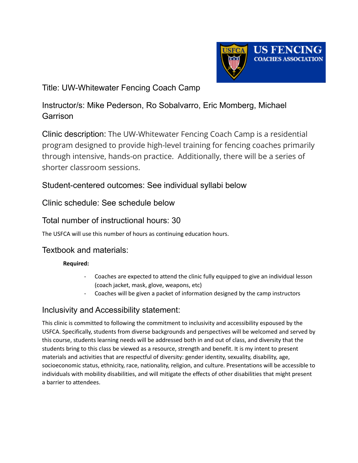

# Title: UW-Whitewater Fencing Coach Camp

# Instructor/s: Mike Pederson, Ro Sobalvarro, Eric Momberg, Michael **Garrison**

Clinic description: The UW-Whitewater Fencing Coach Camp is a residential program designed to provide high-level training for fencing coaches primarily through intensive, hands-on practice. Additionally, there will be a series of shorter classroom sessions.

# Student-centered outcomes: See individual syllabi below

# Clinic schedule: See schedule below

# Total number of instructional hours: 30

The USFCA will use this number of hours as continuing education hours.

# Textbook and materials:

#### **Required:**

- Coaches are expected to attend the clinic fully equipped to give an individual lesson (coach jacket, mask, glove, weapons, etc)
- Coaches will be given a packet of information designed by the camp instructors

# Inclusivity and Accessibility statement:

This clinic is committed to following the commitment to inclusivity and accessibility espoused by the USFCA. Specifically, students from diverse backgrounds and perspectives will be welcomed and served by this course, students learning needs will be addressed both in and out of class, and diversity that the students bring to this class be viewed as a resource, strength and benefit. It is my intent to present materials and activities that are respectful of diversity: gender identity, sexuality, disability, age, socioeconomic status, ethnicity, race, nationality, religion, and culture. Presentations will be accessible to individuals with mobility disabilities, and will mitigate the effects of other disabilities that might present a barrier to attendees.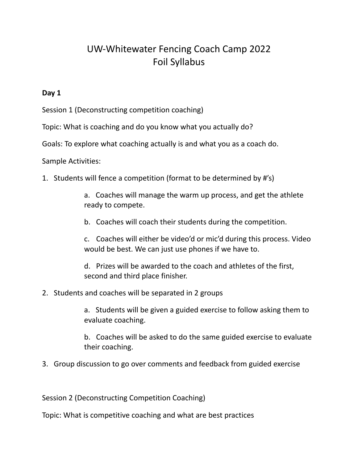# UW-Whitewater Fencing Coach Camp 2022 Foil Syllabus

### **Day 1**

Session 1 (Deconstructing competition coaching)

Topic: What is coaching and do you know what you actually do?

Goals: To explore what coaching actually is and what you as a coach do.

Sample Activities:

1. Students will fence a competition (format to be determined by #'s)

a. Coaches will manage the warm up process, and get the athlete ready to compete.

b. Coaches will coach their students during the competition.

c. Coaches will either be video'd or mic'd during this process. Video would be best. We can just use phones if we have to.

d. Prizes will be awarded to the coach and athletes of the first, second and third place finisher.

2. Students and coaches will be separated in 2 groups

a. Students will be given a guided exercise to follow asking them to evaluate coaching.

b. Coaches will be asked to do the same guided exercise to evaluate their coaching.

3. Group discussion to go over comments and feedback from guided exercise

Session 2 (Deconstructing Competition Coaching)

Topic: What is competitive coaching and what are best practices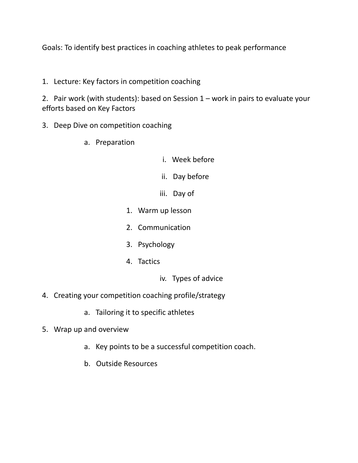Goals: To identify best practices in coaching athletes to peak performance

1. Lecture: Key factors in competition coaching

2. Pair work (with students): based on Session 1 – work in pairs to evaluate your efforts based on Key Factors

- 3. Deep Dive on competition coaching
	- a. Preparation
- i. Week before
- ii. Day before
- iii. Day of
- 1. Warm up lesson
- 2. Communication
- 3. Psychology
- 4. Tactics
	- iv. Types of advice
- 4. Creating your competition coaching profile/strategy
	- a. Tailoring it to specific athletes
- 5. Wrap up and overview
	- a. Key points to be a successful competition coach.
	- b. Outside Resources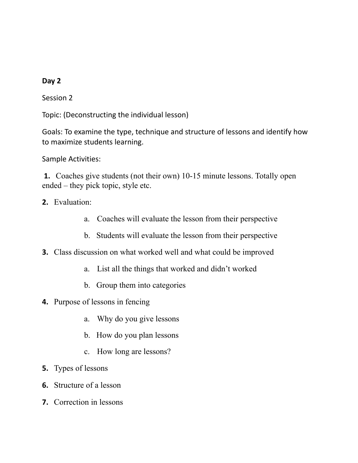Session 2

Topic: (Deconstructing the individual lesson)

Goals: To examine the type, technique and structure of lessons and identify how to maximize students learning.

Sample Activities:

**1.** Coaches give students (not their own) 10-15 minute lessons. Totally open ended – they pick topic, style etc.

- **2.** Evaluation:
	- a. Coaches will evaluate the lesson from their perspective
	- b. Students will evaluate the lesson from their perspective
- **3.** Class discussion on what worked well and what could be improved
	- a. List all the things that worked and didn't worked
	- b. Group them into categories
- **4.** Purpose of lessons in fencing
	- a. Why do you give lessons
	- b. How do you plan lessons
	- c. How long are lessons?
- **5.** Types of lessons
- **6.** Structure of a lesson
- **7.** Correction in lessons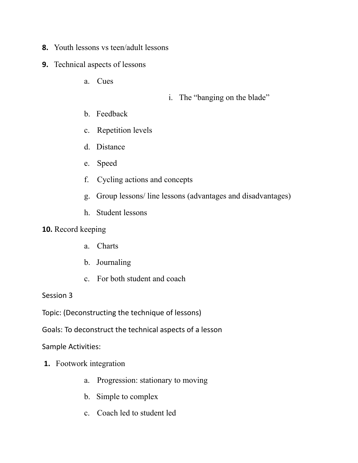- **8.** Youth lessons vs teen/adult lessons
- **9.** Technical aspects of lessons
	- a. Cues

- i. The "banging on the blade"
- b. Feedback
- c. Repetition levels
- d. Distance
- e. Speed
- f. Cycling actions and concepts
- g. Group lessons/ line lessons (advantages and disadvantages)
- h. Student lessons

### **10.** Record keeping

- a. Charts
- b. Journaling
- c. For both student and coach

#### Session 3

Topic: (Deconstructing the technique of lessons)

Goals: To deconstruct the technical aspects of a lesson

Sample Activities:

- **1.** Footwork integration
	- a. Progression: stationary to moving
	- b. Simple to complex
	- c. Coach led to student led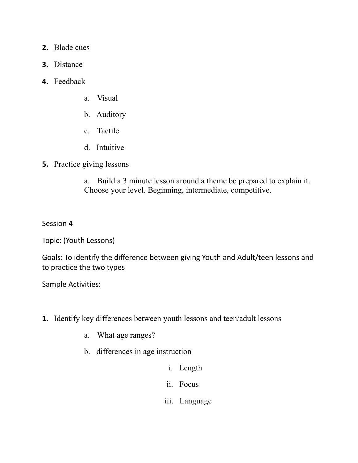- **2.** Blade cues
- **3.** Distance
- **4.** Feedback
	- a. Visual
	- b. Auditory
	- c. Tactile
	- d. Intuitive
- **5.** Practice giving lessons

a. Build a 3 minute lesson around a theme be prepared to explain it. Choose your level. Beginning, intermediate, competitive.

Session 4

Topic: (Youth Lessons)

Goals: To identify the difference between giving Youth and Adult/teen lessons and to practice the two types

Sample Activities:

- **1.** Identify key differences between youth lessons and teen/adult lessons
	- a. What age ranges?
	- b. differences in age instruction
		- i. Length
		- ii. Focus
		- iii. Language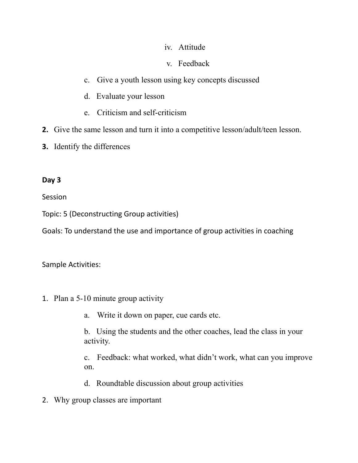## iv. Attitude

## v. Feedback

- c. Give a youth lesson using key concepts discussed
- d. Evaluate your lesson
- e. Criticism and self-criticism
- **2.** Give the same lesson and turn it into a competitive lesson/adult/teen lesson.
- **3.** Identify the differences

## **Day 3**

Session

Topic: 5 (Deconstructing Group activities)

Goals: To understand the use and importance of group activities in coaching

Sample Activities:

- 1. Plan a 5-10 minute group activity
	- a. Write it down on paper, cue cards etc.

b. Using the students and the other coaches, lead the class in your activity.

c. Feedback: what worked, what didn't work, what can you improve on.

- d. Roundtable discussion about group activities
- 2. Why group classes are important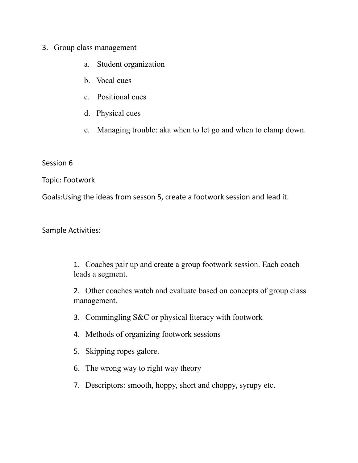## 3. Group class management

- a. Student organization
- b. Vocal cues
- c. Positional cues
- d. Physical cues
- e. Managing trouble: aka when to let go and when to clamp down.

Session 6

Topic: Footwork

Goals:Using the ideas from sesson 5, create a footwork session and lead it.

Sample Activities:

1. Coaches pair up and create a group footwork session. Each coach leads a segment.

2. Other coaches watch and evaluate based on concepts of group class management.

- 3. Commingling S&C or physical literacy with footwork
- 4. Methods of organizing footwork sessions
- 5. Skipping ropes galore.
- 6. The wrong way to right way theory
- 7. Descriptors: smooth, hoppy, short and choppy, syrupy etc.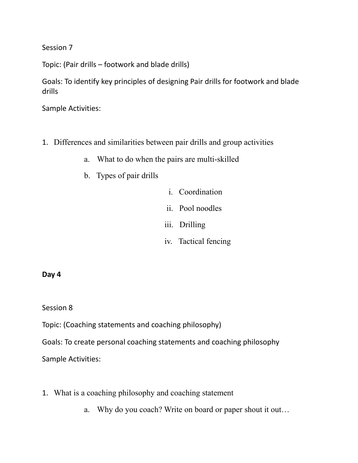Session 7

Topic: (Pair drills – footwork and blade drills)

Goals: To identify key principles of designing Pair drills for footwork and blade drills

Sample Activities:

- 1. Differences and similarities between pair drills and group activities
	- a. What to do when the pairs are multi-skilled
	- b. Types of pair drills
- i. Coordination
- ii. Pool noodles
- iii. Drilling
- iv. Tactical fencing

#### **Day 4**

Session 8

Topic: (Coaching statements and coaching philosophy)

Goals: To create personal coaching statements and coaching philosophy

Sample Activities:

- 1. What is a coaching philosophy and coaching statement
	- a. Why do you coach? Write on board or paper shout it out…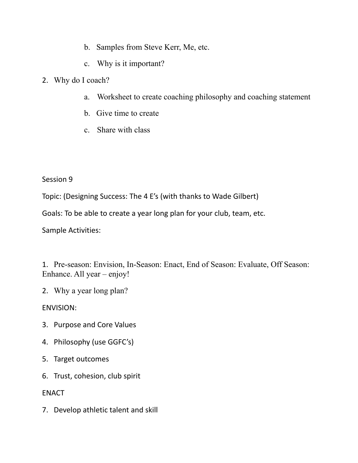- b. Samples from Steve Kerr, Me, etc.
- c. Why is it important?
- 2. Why do I coach?
	- a. Worksheet to create coaching philosophy and coaching statement
	- b. Give time to create
	- c. Share with class

Session 9

Topic: (Designing Success: The 4 E's (with thanks to Wade Gilbert)

Goals: To be able to create a year long plan for your club, team, etc.

Sample Activities:

1. Pre-season: Envision, In-Season: Enact, End of Season: Evaluate, Off Season: Enhance. All year – enjoy!

2. Why a year long plan?

ENVISION:

- 3. Purpose and Core Values
- 4. Philosophy (use GGFC's)
- 5. Target outcomes
- 6. Trust, cohesion, club spirit

ENACT

7. Develop athletic talent and skill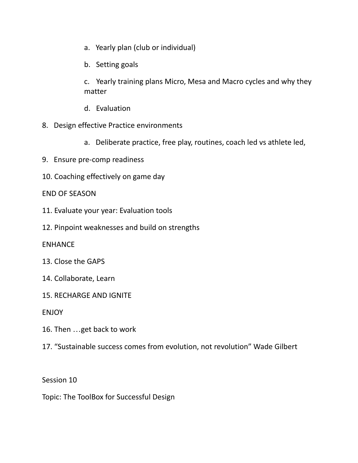- a. Yearly plan (club or individual)
- b. Setting goals

c. Yearly training plans Micro, Mesa and Macro cycles and why they matter

- d. Evaluation
- 8. Design effective Practice environments
	- a. Deliberate practice, free play, routines, coach led vs athlete led,
- 9. Ensure pre-comp readiness
- 10. Coaching effectively on game day

### END OF SEASON

- 11. Evaluate your year: Evaluation tools
- 12. Pinpoint weaknesses and build on strengths

#### ENHANCE

- 13. Close the GAPS
- 14. Collaborate, Learn
- 15. RECHARGE AND IGNITE

ENJOY

- 16. Then …get back to work
- 17. "Sustainable success comes from evolution, not revolution" Wade Gilbert

Session 10

Topic: The ToolBox for Successful Design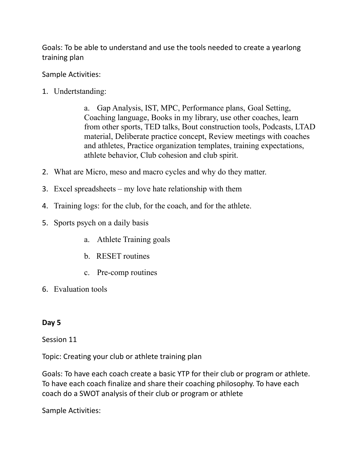Goals: To be able to understand and use the tools needed to create a yearlong training plan

Sample Activities:

1. Undertstanding:

a. Gap Analysis, IST, MPC, Performance plans, Goal Setting, Coaching language, Books in my library, use other coaches, learn from other sports, TED talks, Bout construction tools, Podcasts, LTAD material, Deliberate practice concept, Review meetings with coaches and athletes, Practice organization templates, training expectations, athlete behavior, Club cohesion and club spirit.

- 2. What are Micro, meso and macro cycles and why do they matter.
- 3. Excel spreadsheets my love hate relationship with them
- 4. Training logs: for the club, for the coach, and for the athlete.
- 5. Sports psych on a daily basis
	- a. Athlete Training goals
	- b. RESET routines
	- c. Pre-comp routines
- 6. Evaluation tools

# **Day 5**

Session 11

Topic: Creating your club or athlete training plan

Goals: To have each coach create a basic YTP for their club or program or athlete. To have each coach finalize and share their coaching philosophy. To have each coach do a SWOT analysis of their club or program or athlete

Sample Activities: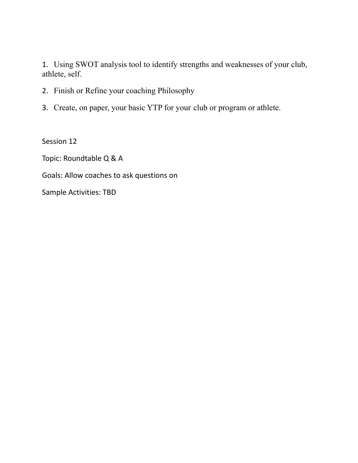1. Using SWOT analysis tool to identify strengths and weaknesses of your club, athlete, self.

- 2. Finish or Refine your coaching Philosophy
- 3. Create, on paper, your basic YTP for your club or program or athlete.

Session 12

Topic: Roundtable Q & A

Goals: Allow coaches to ask questions on

Sample Activities: TBD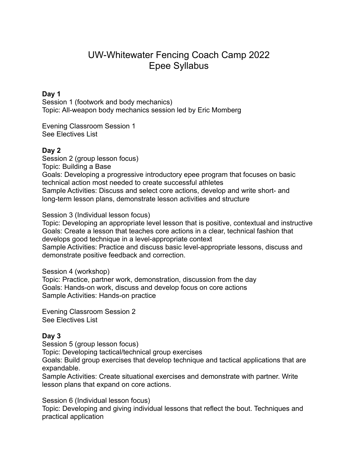# UW-Whitewater Fencing Coach Camp 2022 Epee Syllabus

#### **Day 1**

Session 1 (footwork and body mechanics) Topic: All-weapon body mechanics session led by Eric Momberg

Evening Classroom Session 1 See Electives List

#### **Day 2**

Session 2 (group lesson focus) Topic: Building a Base Goals: Developing a progressive introductory epee program that focuses on basic technical action most needed to create successful athletes Sample Activities: Discuss and select core actions, develop and write short- and long-term lesson plans, demonstrate lesson activities and structure

Session 3 (Individual lesson focus)

Topic: Developing an appropriate level lesson that is positive, contextual and instructive Goals: Create a lesson that teaches core actions in a clear, technical fashion that develops good technique in a level-appropriate context

Sample Activities: Practice and discuss basic level-appropriate lessons, discuss and demonstrate positive feedback and correction.

Session 4 (workshop)

Topic: Practice, partner work, demonstration, discussion from the day Goals: Hands-on work, discuss and develop focus on core actions Sample Activities: Hands-on practice

Evening Classroom Session 2 See Electives List

#### **Day 3**

Session 5 (group lesson focus) Topic: Developing tactical/technical group exercises Goals: Build group exercises that develop technique and tactical applications that are expandable.

Sample Activities: Create situational exercises and demonstrate with partner. Write lesson plans that expand on core actions.

Session 6 (Individual lesson focus)

Topic: Developing and giving individual lessons that reflect the bout. Techniques and practical application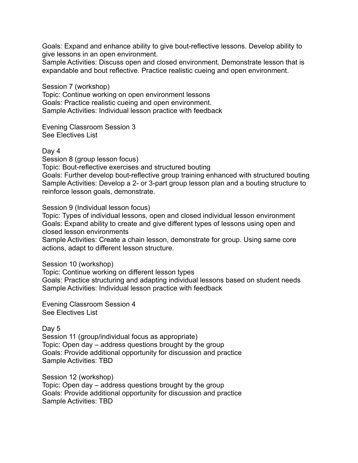Goals: Expand and enhance ability to give bout-reflective lessons. Develop ability to give lessons in an open environment.

Sample Activities: Discuss open and closed environment. Demonstrate lesson that is expandable and bout reflective. Practice realistic cueing and open environment.

Session 7 (workshop) Topic: Continue working on open environment lessons Goals: Practice realistic cueing and open environment. Sample Activities: Individual lesson practice with feedback

Evening Classroom Session 3 See Electives List

Day 4

Session 8 (group lesson focus)

Topic: Bout-reflective exercises and structured bouting

Goals: Further develop bout-reflective group training enhanced with structured bouting Sample Activities: Develop a 2- or 3-part group lesson plan and a bouting structure to reinforce lesson goals, demonstrate.

Session 9 (Individual lesson focus)

Topic: Types of individual lessons, open and closed individual lesson environment Goals: Expand ability to create and give different types of lessons using open and closed lesson environments

Sample Activities: Create a chain lesson, demonstrate for group. Using same core actions, adapt to different lesson structure.

Session 10 (workshop)

Topic: Continue working on different lesson types

Goals: Practice structuring and adapting individual lessons based on student needs Sample Activities: Individual lesson practice with feedback

Evening Classroom Session 4 See Electives List

Day 5

Session 11 (group/individual focus as appropriate) Topic: Open day – address questions brought by the group Goals: Provide additional opportunity for discussion and practice Sample Activities: TBD

Session 12 (workshop)

Topic: Open day – address questions brought by the group Goals: Provide additional opportunity for discussion and practice Sample Activities: TBD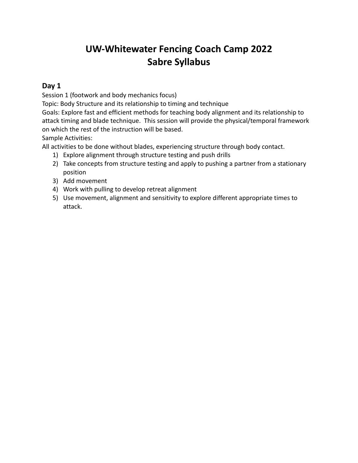# **UW-Whitewater Fencing Coach Camp 2022 Sabre Syllabus**

## **Day 1**

Session 1 (footwork and body mechanics focus)

Topic: Body Structure and its relationship to timing and technique

Goals: Explore fast and efficient methods for teaching body alignment and its relationship to attack timing and blade technique. This session will provide the physical/temporal framework on which the rest of the instruction will be based.

Sample Activities:

All activities to be done without blades, experiencing structure through body contact.

- 1) Explore alignment through structure testing and push drills
- 2) Take concepts from structure testing and apply to pushing a partner from a stationary position
- 3) Add movement
- 4) Work with pulling to develop retreat alignment
- 5) Use movement, alignment and sensitivity to explore different appropriate times to attack.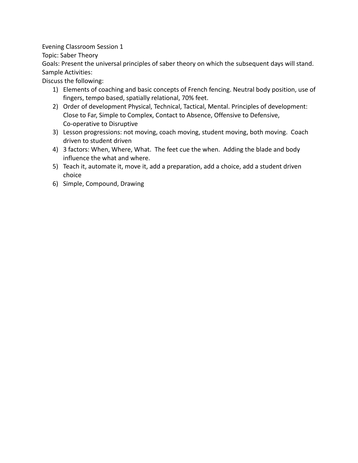Evening Classroom Session 1

Topic: Saber Theory

Goals: Present the universal principles of saber theory on which the subsequent days will stand. Sample Activities:

Discuss the following:

- 1) Elements of coaching and basic concepts of French fencing. Neutral body position, use of fingers, tempo based, spatially relational, 70% feet.
- 2) Order of development Physical, Technical, Tactical, Mental. Principles of development: Close to Far, Simple to Complex, Contact to Absence, Offensive to Defensive, Co-operative to Disruptive
- 3) Lesson progressions: not moving, coach moving, student moving, both moving. Coach driven to student driven
- 4) 3 factors: When, Where, What. The feet cue the when. Adding the blade and body influence the what and where.
- 5) Teach it, automate it, move it, add a preparation, add a choice, add a student driven choice
- 6) Simple, Compound, Drawing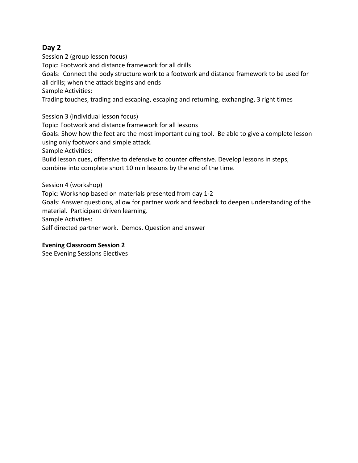Session 2 (group lesson focus) Topic: Footwork and distance framework for all drills Goals: Connect the body structure work to a footwork and distance framework to be used for all drills; when the attack begins and ends Sample Activities: Trading touches, trading and escaping, escaping and returning, exchanging, 3 right times

Session 3 (individual lesson focus) Topic: Footwork and distance framework for all lessons Goals: Show how the feet are the most important cuing tool. Be able to give a complete lesson using only footwork and simple attack. Sample Activities: Build lesson cues, offensive to defensive to counter offensive. Develop lessons in steps, combine into complete short 10 min lessons by the end of the time.

Session 4 (workshop) Topic: Workshop based on materials presented from day 1-2 Goals: Answer questions, allow for partner work and feedback to deepen understanding of the material. Participant driven learning. Sample Activities: Self directed partner work. Demos. Question and answer

#### **Evening Classroom Session 2**

See Evening Sessions Electives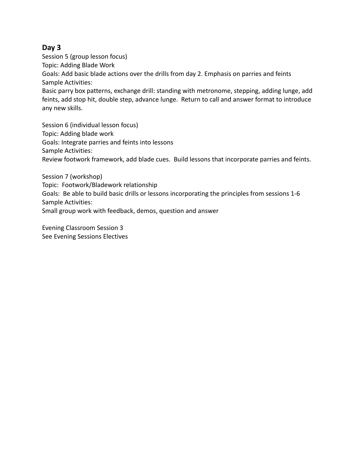Session 5 (group lesson focus) Topic: Adding Blade Work Goals: Add basic blade actions over the drills from day 2. Emphasis on parries and feints Sample Activities: Basic parry box patterns, exchange drill: standing with metronome, stepping, adding lunge, add

feints, add stop hit, double step, advance lunge. Return to call and answer format to introduce any new skills.

Session 6 (individual lesson focus) Topic: Adding blade work Goals: Integrate parries and feints into lessons Sample Activities: Review footwork framework, add blade cues. Build lessons that incorporate parries and feints.

Session 7 (workshop) Topic: Footwork/Bladework relationship Goals: Be able to build basic drills or lessons incorporating the principles from sessions 1-6 Sample Activities: Small group work with feedback, demos, question and answer

Evening Classroom Session 3 See Evening Sessions Electives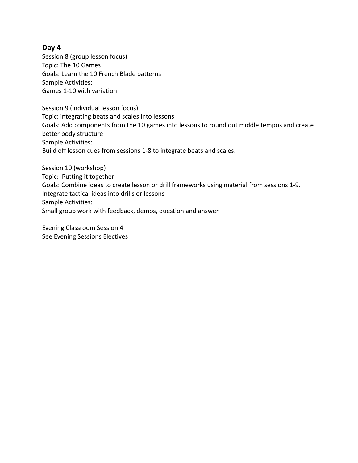Session 8 (group lesson focus) Topic: The 10 Games Goals: Learn the 10 French Blade patterns Sample Activities: Games 1-10 with variation

Session 9 (individual lesson focus) Topic: integrating beats and scales into lessons Goals: Add components from the 10 games into lessons to round out middle tempos and create better body structure Sample Activities: Build off lesson cues from sessions 1-8 to integrate beats and scales.

Session 10 (workshop) Topic: Putting it together Goals: Combine ideas to create lesson or drill frameworks using material from sessions 1-9. Integrate tactical ideas into drills or lessons Sample Activities: Small group work with feedback, demos, question and answer

Evening Classroom Session 4 See Evening Sessions Electives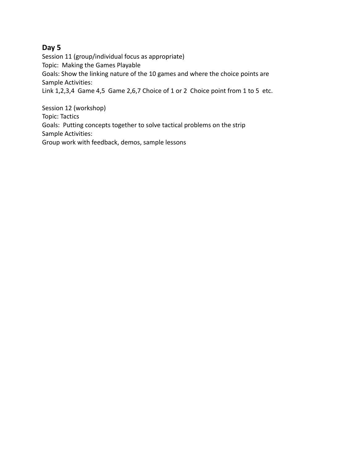Session 11 (group/individual focus as appropriate) Topic: Making the Games Playable Goals: Show the linking nature of the 10 games and where the choice points are Sample Activities: Link 1,2,3,4 Game 4,5 Game 2,6,7 Choice of 1 or 2 Choice point from 1 to 5 etc.

Session 12 (workshop) Topic: Tactics Goals: Putting concepts together to solve tactical problems on the strip Sample Activities: Group work with feedback, demos, sample lessons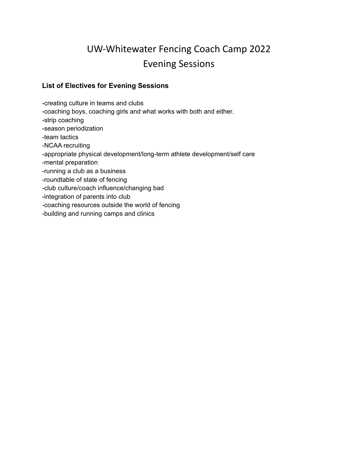# UW-Whitewater Fencing Coach Camp 2022 Evening Sessions

#### **List of Electives for Evening Sessions**

-creating culture in teams and clubs -coaching boys, coaching girls and what works with both and either. -strip coaching -season periodization -team tactics -NCAA recruiting -appropriate physical development/long-term athlete development/self care -mental preparation -running a club as a business -roundtable of state of fencing -club culture/coach influence/changing bad -integration of parents into club -coaching resources outside the world of fencing -building and running camps and clinics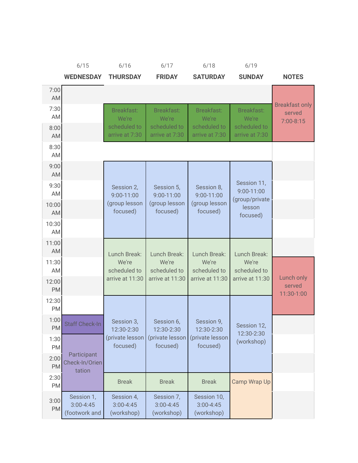|                    | 6/15                                         | 6/16                                      | 6/17                                      | 6/18                                       | 6/19                                        |                                                  |
|--------------------|----------------------------------------------|-------------------------------------------|-------------------------------------------|--------------------------------------------|---------------------------------------------|--------------------------------------------------|
|                    | <b>WEDNESDAY</b>                             | <b>THURSDAY</b>                           | <b>FRIDAY</b>                             | <b>SATURDAY</b>                            | <b>SUNDAY</b>                               | <b>NOTES</b>                                     |
| 7:00<br><b>AM</b>  |                                              |                                           |                                           |                                            |                                             |                                                  |
| 7:30<br>AM         |                                              | Breakfast:<br>We're                       | <b>Breakfast:</b><br>We're                | <b>Breakfast:</b><br>We're                 | <b>Breakfast:</b><br>We're                  | <b>Breakfast only</b><br>served<br>$7:00 - 8:15$ |
| 8:00<br>AM         |                                              | scheduled to<br>arrive at 7:30            | scheduled to<br>arrive at 7:30            | scheduled to<br>arrive at 7:30             | scheduled to<br>arrive at 7:30              |                                                  |
| 8:30<br>AM         |                                              |                                           |                                           |                                            |                                             |                                                  |
| 9:00<br>AM         |                                              |                                           |                                           |                                            |                                             |                                                  |
| 9:30<br>AM         |                                              | Session 2,<br>9:00-11:00                  | Session 5,<br>9:00-11:00                  | Session 8,<br>9:00-11:00                   | Session 11,<br>9:00-11:00<br>(group/private |                                                  |
| 10:00<br>AM        |                                              | (group lesson<br>focused)                 | (group lesson<br>focused)                 | (group lesson<br>focused)                  | lesson<br>focused)                          |                                                  |
| 10:30<br>AM        |                                              |                                           |                                           |                                            |                                             |                                                  |
| 11:00<br>AM        |                                              | Lunch Break:                              | Lunch Break:                              | Lunch Break:                               | Lunch Break:                                |                                                  |
| 11:30<br>AM        |                                              | We're<br>scheduled to                     | We're<br>scheduled to                     | We're<br>scheduled to                      | We're<br>scheduled to                       |                                                  |
| 12:00<br><b>PM</b> |                                              | arrive at 11:30                           | arrive at 11:30                           | arrive at 11:30                            | arrive at 11:30                             | <b>Lunch only</b><br>served<br>11:30-1:00        |
| 12:30<br>PM        |                                              |                                           |                                           |                                            |                                             |                                                  |
| 1:00<br><b>PM</b>  | <b>Staff Check-In</b>                        | Session 3,<br>12:30-2:30                  | Session 6,<br>12:30-2:30                  | Session 9,<br>12:30-2:30                   | Session 12,                                 |                                                  |
| 1:30<br><b>PM</b>  |                                              | (private lesson<br>focused)               | (private lesson<br>focused)               | (private lesson<br>focused)                | 12:30-2:30<br>(workshop)                    |                                                  |
| 2:00<br><b>PM</b>  | Participant<br>Check-In/Orien<br>tation      |                                           |                                           |                                            |                                             |                                                  |
| 2:30<br><b>PM</b>  |                                              | <b>Break</b>                              | <b>Break</b>                              | <b>Break</b>                               | Camp Wrap Up                                |                                                  |
| 3:00<br>PM         | Session 1,<br>$3:00 - 4:45$<br>(footwork and | Session 4,<br>$3:00 - 4:45$<br>(workshop) | Session 7,<br>$3:00 - 4:45$<br>(workshop) | Session 10,<br>$3:00 - 4:45$<br>(workshop) |                                             |                                                  |